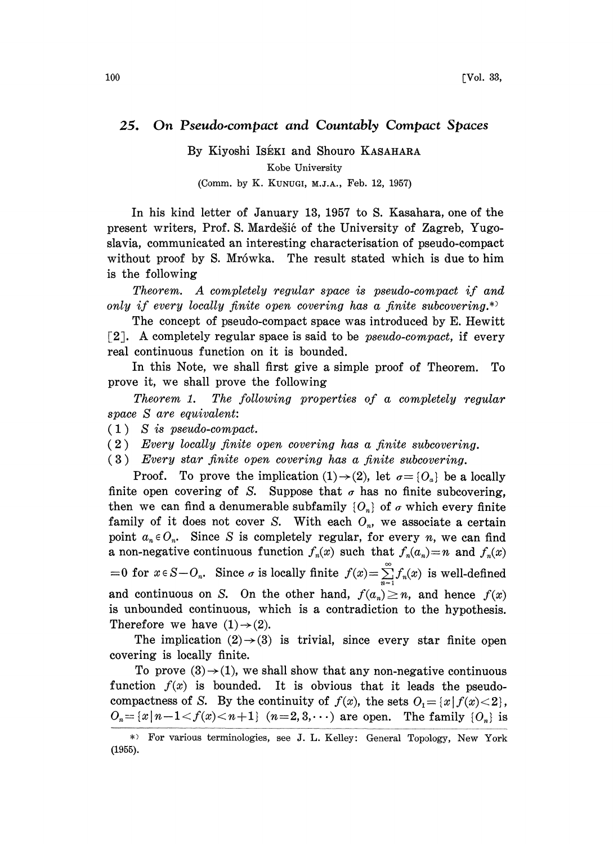## 25. On Pseudo-compact and Countably Compact Spaces

By Kiyoshi ISÉKI and Shouro KASAHARA Kobe University (Comm. by K. KUNUGI, M.J.A., Feb. 12, 1957)

In his kind letter of January 13, 1957 to S. Kasahara, one of the present writers, Prof. S. Mardešić of the University of Zagreb, Yugoslavia, communicated an interesting characterisation of pseudo-compact without proof by S. Mrówka. The result stated which is due to him is the following

Theorem. A completely regular space is pseudo-compact if and only if every locally finite open covering has a finite subcovering.\*)

The concept of pseudo-compact space was introduced by E. Hewitt [2]. A completely regular space is said to be *pseudo-compact*, if every real continuous function on it is bounded.

In this Note, we shall first give a simple proof of Theorem. To prove it, we shall prove the following

Theorem 1. The following properties of a completely regular space S are equivalent:

 $(1)$  S is pseudo-compact.

(2) Every locally finite open covering has a finite subcovering.

(3) Every star finite open covering has a finite subcovering.

Proof. To prove the implication  $(1) \rightarrow (2)$ , let  $\sigma = \{O_{\alpha}\}\$ be a locally finite open covering of S. Suppose that  $\sigma$  has no finite subcovering, then we can find a denumerable subfamily  $\{O_n\}$  of  $\sigma$  which every finite family of it does not cover S. With each  $O_n$ , we associate a certain point  $a_n \in O_n$ . Since S is completely regular, for every n, we can find a non-negative continuous function  $f_n(x)$  such that  $f_n(a_n)=n$  and  $f_n(x)$ =0 for  $x \in S-O_n$ . Since  $\sigma$  is locally finite  $f(x)=\sum_{n=1}^{\infty}f_n(x)$  is well-defined and continuous on S. On the other hand,  $f(a_n) \ge n$ , and hence  $f(x)$ is unbounded continuous, which is a contradiction to the hypothesis. Therefore we have  $(1) \rightarrow (2)$ .

The implication  $(2) \rightarrow (3)$  is trivial, since every star finite open covering is locally finite.

To prove  $(3) \rightarrow (1)$ , we shall show that any non-negative continuous function  $f(x)$  is bounded. It is obvious that it leads the pseudocompactness of S. By the continuity of  $f(x)$ , the sets  $O_1 = \{x \mid f(x) < 2\}$ ,  $O_n = \{x \mid n-1 < f(x) < n+1\}$   $(n=2, 3, \cdots)$  are open. The family  $\{O_n\}$  is

For various terminologies, see J. L. Kelley: General Topology, New York (1955).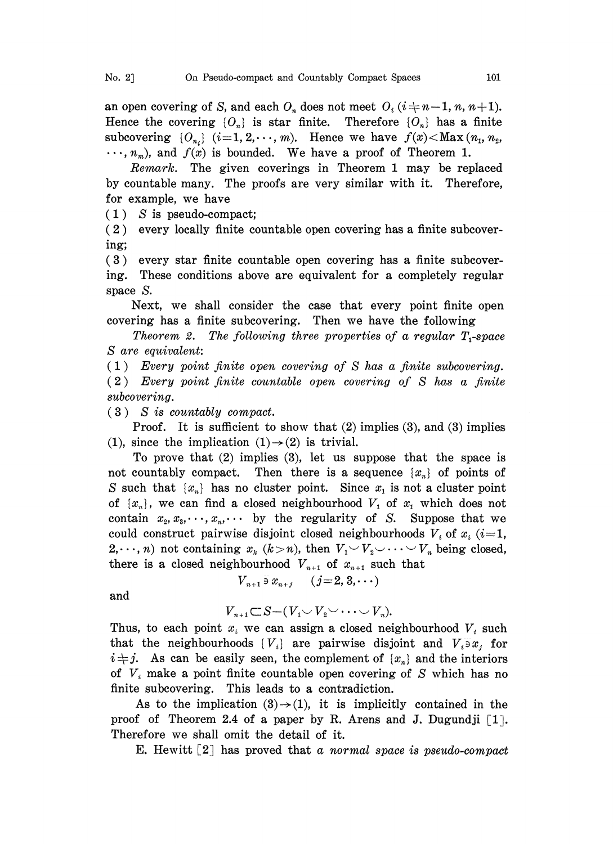an open covering of S, and each  $O_n$  does not meet  $O_i$  ( $i+n-1, n, n+1$ ). Hence the covering  ${O_n}$  is star finite. Therefore  ${O_n}$  has a finite subcovering  $\{O_{n_i}\}\ (i=1, 2, \cdots, m)$ . Hence we have  $f(x) < Maxmath>Max}(n_1, n_2,$  $\cdots$ ,  $n_m$ ), and  $f(x)$  is bounded. We have a proof of Theorem 1.

Remark. The given coverings in Theorem 1 may be replaced by countable many. The proofs are very similar with it. Therefore, for example, we have

 $(1)$  S is pseudo-compact;

( 2 ) every locally finite countable open covering has a finite subcovering;

(3) every star finite countable open covering has a finite subcovering. These conditions above are equivalent for a completely regular space S.

Next, we shall consider the case that every point finite open covering has a finite subcovering. Then we have the following

Theorem 2. The following three properties of a regular  $T_1$ -space S are equivalent:

(1) Every point finite open covering of S has a finite subcovering. (2) Every point finite countable open covering of S has a finite subcovering.

 $(3)$  S is countably compact.

Proof. It is sufficient to show that (2) implies (3), and (3) implies (1), since the implication  $(1) \rightarrow (2)$  is trivial.

To prove that (2) implies (3), let us suppose that the space is not countably compact. Then there is a sequence  $\{x_n\}$  of points of S such that  $\{x_n\}$  has no cluster point. Since  $x_1$  is not a cluster point of  $\{x_n\}$ , we can find a closed neighbourhood  $V_1$  of  $x_1$  which does not contain  $x_2, x_3, \dots, x_n, \dots$  by the regularity of S. Suppose that we could construct pairwise disjoint closed neighbourhoods  $V_i$  of  $x_i$  (i=1,  $2,\dots, n$ ) not containing  $x_k$   $(k>n)$ , then  $V_1 \cup V_2 \cup \dots \cup V_n$  being closed, there is a closed neighbourhood  $V_{n+1}$  of  $x_{n+1}$  such that

and

 $V_{n+1} \subset S - (V_1 \cup V_2 \cup \cdots \cup V_n).$ 

 $V_{n+1}$   $\bar{x}_{n+j}$   $(j=2, 3, \cdots)$ 

Thus, to each point  $x_i$  we can assign a closed neighbourhood  $V_i$  such that the neighbourhoods  $\{V_i\}$  are pairwise disjoint and  $V_i\overline{\partial} x_i$  for  $i \neq j$ . As can be easily seen, the complement of  $\{x_n\}$  and the interiors of  $V_i$  make a point finite countable open covering of S which has no finite subcovering. This leads to a contradiction.

As to the implication  $(3) \rightarrow (1)$ , it is implicitly contained in the proof of Theorem 2.4 of a paper by R. Arens and J. Dugundji  $\lceil 1 \rceil$ . Therefore we shall omit the detail of it.

E. Hewitt  $\lceil 2 \rceil$  has proved that a normal space is pseudo-compact